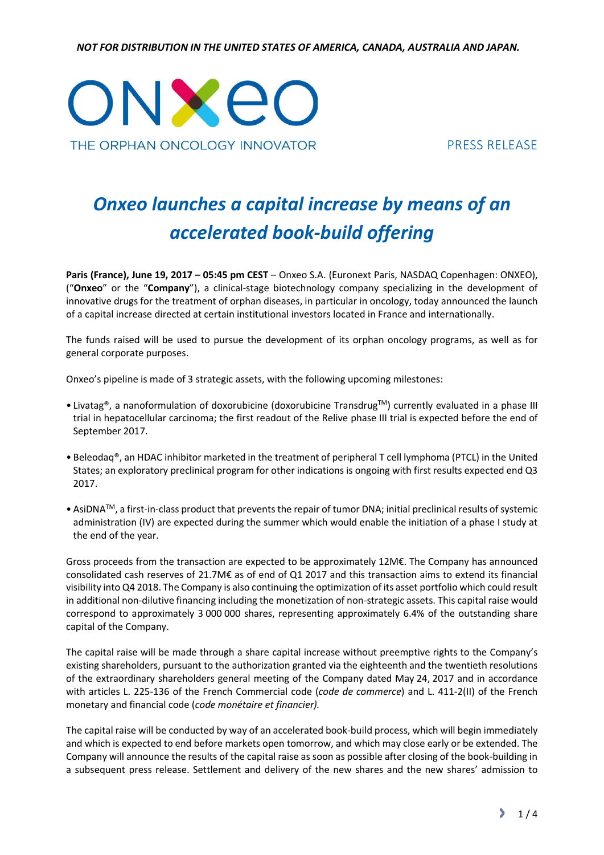NOT FOR DISTRIBUTION IN THE UNITED STATES OF AMERICA, CANADA, AUSTRALIA AND JAPAN.



PRESS RELEASE

# Onxeo launches a capital increase by means of an accelerated book-build offering

Paris (France), June 19, 2017 – 05:45 pm CEST – Onxeo S.A. (Euronext Paris, NASDAQ Copenhagen: ONXEO), ("Onxeo" or the "Company"), a clinical-stage biotechnology company specializing in the development of innovative drugs for the treatment of orphan diseases, in particular in oncology, today announced the launch of a capital increase directed at certain institutional investors located in France and internationally.

The funds raised will be used to pursue the development of its orphan oncology programs, as well as for general corporate purposes.

Onxeo's pipeline is made of 3 strategic assets, with the following upcoming milestones:

- Livatag®, a nanoformulation of doxorubicine (doxorubicine Transdrug™) currently evaluated in a phase III trial in hepatocellular carcinoma; the first readout of the Relive phase III trial is expected before the end of September 2017.
- Beleodaq®, an HDAC inhibitor marketed in the treatment of peripheral T cell lymphoma (PTCL) in the United States; an exploratory preclinical program for other indications is ongoing with first results expected end Q3 2017.
- AsiDNATM, a first-in-class product that prevents the repair of tumor DNA; initial preclinical results of systemic administration (IV) are expected during the summer which would enable the initiation of a phase I study at the end of the year.

Gross proceeds from the transaction are expected to be approximately 12M€. The Company has announced consolidated cash reserves of 21.7M€ as of end of Q1 2017 and this transaction aims to extend its financial visibility into Q4 2018. The Company is also continuing the optimization of its asset portfolio which could result in additional non-dilutive financing including the monetization of non-strategic assets. This capital raise would correspond to approximately 3 000 000 shares, representing approximately 6.4% of the outstanding share capital of the Company.

The capital raise will be made through a share capital increase without preemptive rights to the Company's existing shareholders, pursuant to the authorization granted via the eighteenth and the twentieth resolutions of the extraordinary shareholders general meeting of the Company dated May 24, 2017 and in accordance with articles L. 225-136 of the French Commercial code (code de commerce) and L. 411-2(II) of the French monetary and financial code (code monétaire et financier).

The capital raise will be conducted by way of an accelerated book-build process, which will begin immediately and which is expected to end before markets open tomorrow, and which may close early or be extended. The Company will announce the results of the capital raise as soon as possible after closing of the book-building in a subsequent press release. Settlement and delivery of the new shares and the new shares' admission to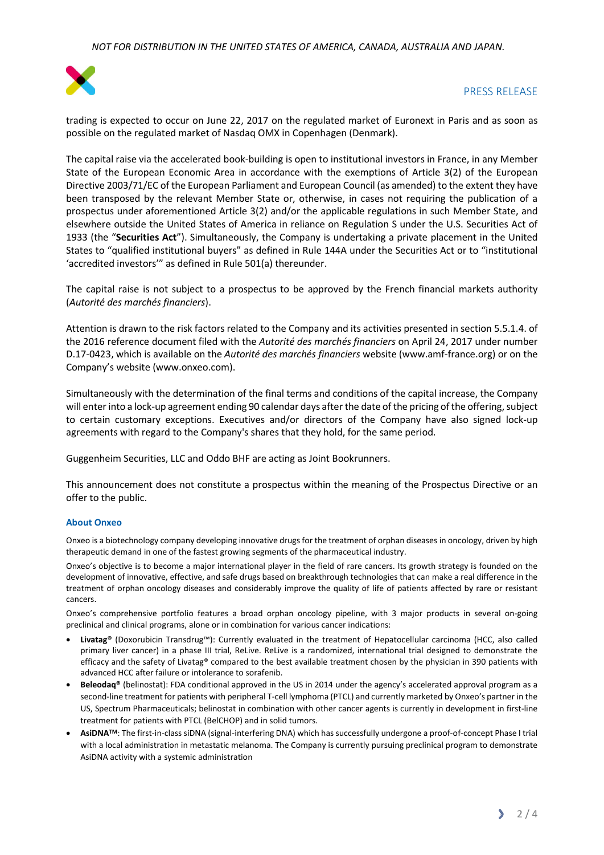

# PRESS RELEASE

trading is expected to occur on June 22, 2017 on the regulated market of Euronext in Paris and as soon as possible on the regulated market of Nasdaq OMX in Copenhagen (Denmark).

The capital raise via the accelerated book-building is open to institutional investors in France, in any Member State of the European Economic Area in accordance with the exemptions of Article 3(2) of the European Directive 2003/71/EC of the European Parliament and European Council (as amended) to the extent they have been transposed by the relevant Member State or, otherwise, in cases not requiring the publication of a prospectus under aforementioned Article 3(2) and/or the applicable regulations in such Member State, and elsewhere outside the United States of America in reliance on Regulation S under the U.S. Securities Act of 1933 (the "Securities Act"). Simultaneously, the Company is undertaking a private placement in the United States to "qualified institutional buyers" as defined in Rule 144A under the Securities Act or to "institutional 'accredited investors'" as defined in Rule 501(a) thereunder.

The capital raise is not subject to a prospectus to be approved by the French financial markets authority (Autorité des marchés financiers).

Attention is drawn to the risk factors related to the Company and its activities presented in section 5.5.1.4. of the 2016 reference document filed with the Autorité des marchés financiers on April 24, 2017 under number D.17-0423, which is available on the Autorité des marchés financiers website (www.amf-france.org) or on the Company's website (www.onxeo.com).

Simultaneously with the determination of the final terms and conditions of the capital increase, the Company will enter into a lock-up agreement ending 90 calendar days after the date of the pricing of the offering, subject to certain customary exceptions. Executives and/or directors of the Company have also signed lock-up agreements with regard to the Company's shares that they hold, for the same period.

Guggenheim Securities, LLC and Oddo BHF are acting as Joint Bookrunners.

This announcement does not constitute a prospectus within the meaning of the Prospectus Directive or an offer to the public.

### About Onxeo

Onxeo is a biotechnology company developing innovative drugs for the treatment of orphan diseases in oncology, driven by high therapeutic demand in one of the fastest growing segments of the pharmaceutical industry.

Onxeo's objective is to become a major international player in the field of rare cancers. Its growth strategy is founded on the development of innovative, effective, and safe drugs based on breakthrough technologies that can make a real difference in the treatment of orphan oncology diseases and considerably improve the quality of life of patients affected by rare or resistant cancers.

Onxeo's comprehensive portfolio features a broad orphan oncology pipeline, with 3 major products in several on-going preclinical and clinical programs, alone or in combination for various cancer indications:

- Livatag® (Doxorubicin Transdrug™): Currently evaluated in the treatment of Hepatocellular carcinoma (HCC, also called primary liver cancer) in a phase III trial, ReLive. ReLive is a randomized, international trial designed to demonstrate the efficacy and the safety of Livatag® compared to the best available treatment chosen by the physician in 390 patients with advanced HCC after failure or intolerance to sorafenib.
- **Beleodaq<sup>®</sup>** (belinostat): FDA conditional approved in the US in 2014 under the agency's accelerated approval program as a second-line treatment for patients with peripheral T-cell lymphoma (PTCL) and currently marketed by Onxeo's partner in the US, Spectrum Pharmaceuticals; belinostat in combination with other cancer agents is currently in development in first-line treatment for patients with PTCL (BelCHOP) and in solid tumors.
- AsiDNA<sup>TM</sup>: The first-in-class siDNA (signal-interfering DNA) which has successfully undergone a proof-of-concept Phase I trial with a local administration in metastatic melanoma. The Company is currently pursuing preclinical program to demonstrate AsiDNA activity with a systemic administration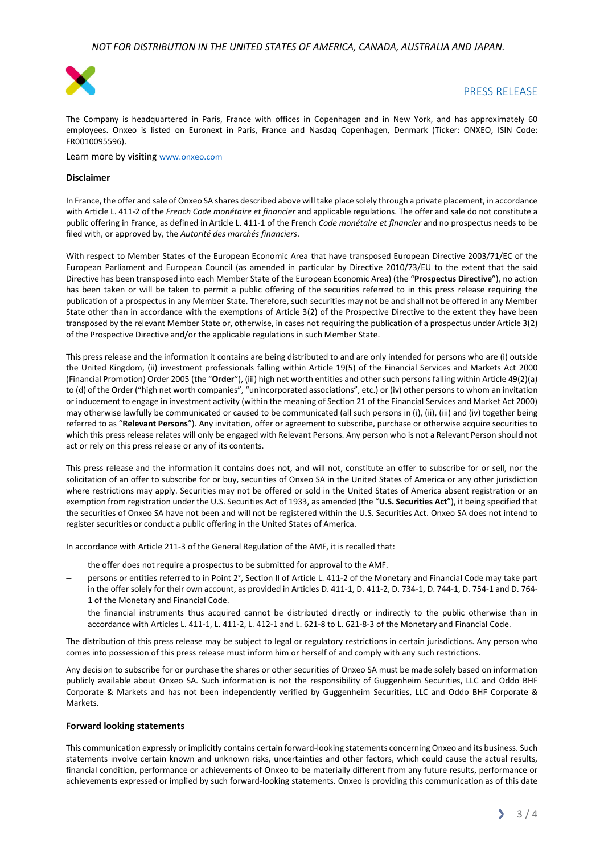

## PRESS RELEASE

The Company is headquartered in Paris, France with offices in Copenhagen and in New York, and has approximately 60 employees. Onxeo is listed on Euronext in Paris, France and Nasdaq Copenhagen, Denmark (Ticker: ONXEO, ISIN Code: FR0010095596).

Learn more by visiting www.onxeo.com

#### Disclaimer

In France, the offer and sale of Onxeo SA shares described above will take place solely through a private placement, in accordance with Article L. 411-2 of the French Code monétaire et financier and applicable regulations. The offer and sale do not constitute a public offering in France, as defined in Article L. 411-1 of the French Code monétaire et financier and no prospectus needs to be filed with, or approved by, the Autorité des marchés financiers.

With respect to Member States of the European Economic Area that have transposed European Directive 2003/71/EC of the European Parliament and European Council (as amended in particular by Directive 2010/73/EU to the extent that the said Directive has been transposed into each Member State of the European Economic Area) (the "Prospectus Directive"), no action has been taken or will be taken to permit a public offering of the securities referred to in this press release requiring the publication of a prospectus in any Member State. Therefore, such securities may not be and shall not be offered in any Member State other than in accordance with the exemptions of Article 3(2) of the Prospective Directive to the extent they have been transposed by the relevant Member State or, otherwise, in cases not requiring the publication of a prospectus under Article 3(2) of the Prospective Directive and/or the applicable regulations in such Member State.

This press release and the information it contains are being distributed to and are only intended for persons who are (i) outside the United Kingdom, (ii) investment professionals falling within Article 19(5) of the Financial Services and Markets Act 2000 (Financial Promotion) Order 2005 (the "Order"), (iii) high net worth entities and other such persons falling within Article 49(2)(a) to (d) of the Order ("high net worth companies", "unincorporated associations", etc.) or (iv) other persons to whom an invitation or inducement to engage in investment activity (within the meaning of Section 21 of the Financial Services and Market Act 2000) may otherwise lawfully be communicated or caused to be communicated (all such persons in (i), (ii), (iii) and (iv) together being referred to as "Relevant Persons"). Any invitation, offer or agreement to subscribe, purchase or otherwise acquire securities to which this press release relates will only be engaged with Relevant Persons. Any person who is not a Relevant Person should not act or rely on this press release or any of its contents.

This press release and the information it contains does not, and will not, constitute an offer to subscribe for or sell, nor the solicitation of an offer to subscribe for or buy, securities of Onxeo SA in the United States of America or any other jurisdiction where restrictions may apply. Securities may not be offered or sold in the United States of America absent registration or an exemption from registration under the U.S. Securities Act of 1933, as amended (the "U.S. Securities Act"), it being specified that the securities of Onxeo SA have not been and will not be registered within the U.S. Securities Act. Onxeo SA does not intend to register securities or conduct a public offering in the United States of America.

In accordance with Article 211-3 of the General Regulation of the AMF, it is recalled that:

- the offer does not require a prospectus to be submitted for approval to the AMF.
- persons or entities referred to in Point 2°, Section II of Article L. 411-2 of the Monetary and Financial Code may take part in the offer solely for their own account, as provided in Articles D. 411-1, D. 411-2, D. 734-1, D. 744-1, D. 754-1 and D. 764- 1 of the Monetary and Financial Code.
- the financial instruments thus acquired cannot be distributed directly or indirectly to the public otherwise than in accordance with Articles L. 411-1, L. 411-2, L. 412-1 and L. 621-8 to L. 621-8-3 of the Monetary and Financial Code.

The distribution of this press release may be subject to legal or regulatory restrictions in certain jurisdictions. Any person who comes into possession of this press release must inform him or herself of and comply with any such restrictions.

Any decision to subscribe for or purchase the shares or other securities of Onxeo SA must be made solely based on information publicly available about Onxeo SA. Such information is not the responsibility of Guggenheim Securities, LLC and Oddo BHF Corporate & Markets and has not been independently verified by Guggenheim Securities, LLC and Oddo BHF Corporate & Markets.

#### Forward looking statements

This communication expressly or implicitly contains certain forward-looking statements concerning Onxeo and its business. Such statements involve certain known and unknown risks, uncertainties and other factors, which could cause the actual results, financial condition, performance or achievements of Onxeo to be materially different from any future results, performance or achievements expressed or implied by such forward-looking statements. Onxeo is providing this communication as of this date